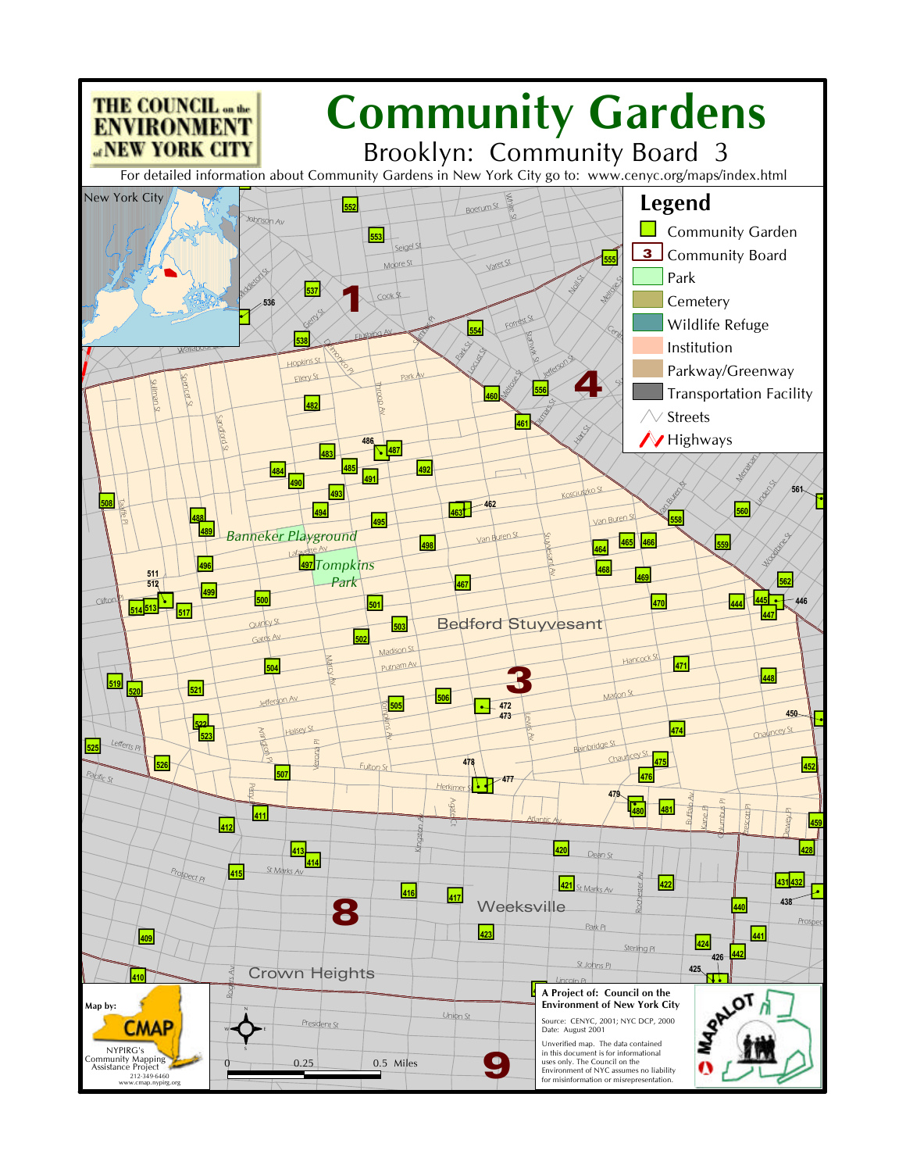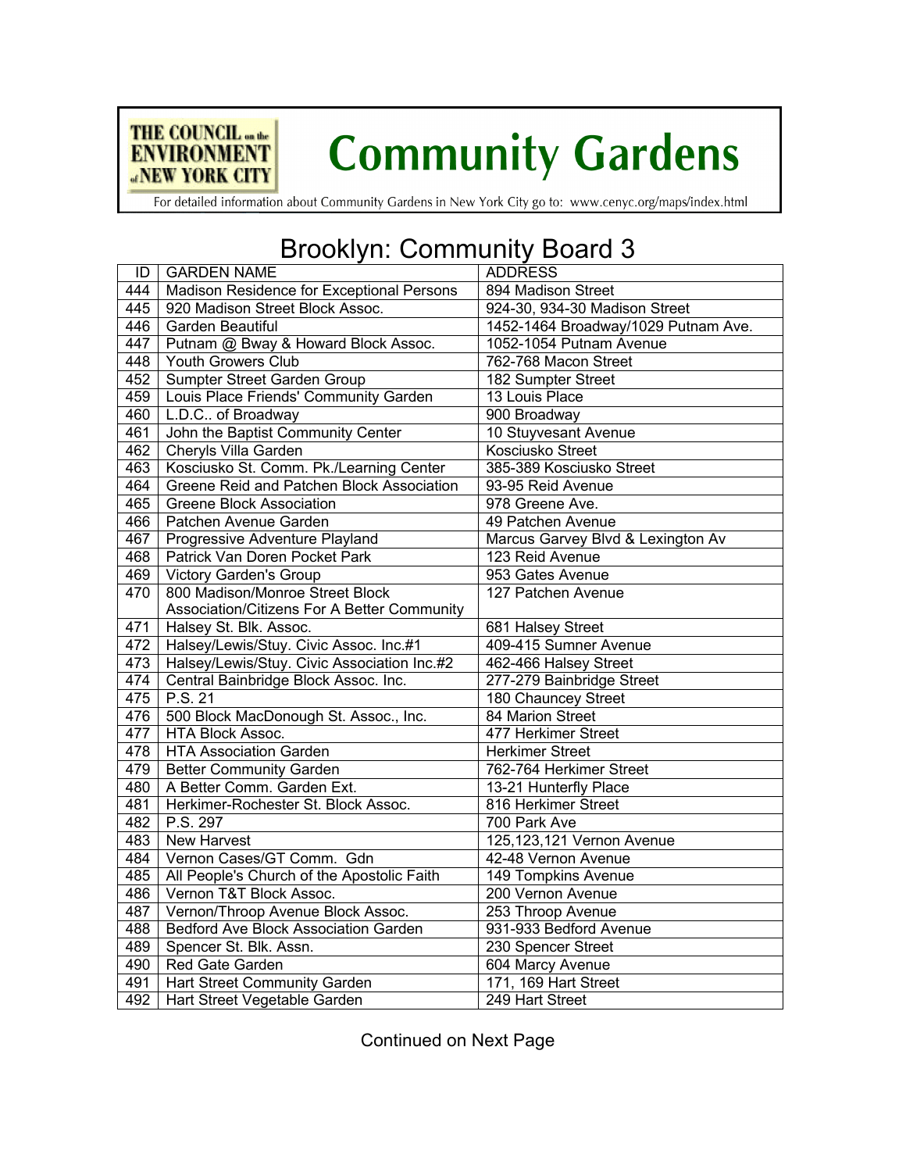

## **Community Gardens**

For detailed information about Community Gardens in New York City go to: www.cenyc.org/maps/index.html

## Brooklyn: Community Board 3

| ID  | <b>GARDEN NAME</b>                          | <b>ADDRESS</b>                      |
|-----|---------------------------------------------|-------------------------------------|
| 444 | Madison Residence for Exceptional Persons   | 894 Madison Street                  |
| 445 | 920 Madison Street Block Assoc.             | 924-30, 934-30 Madison Street       |
| 446 | Garden Beautiful                            | 1452-1464 Broadway/1029 Putnam Ave. |
| 447 | Putnam @ Bway & Howard Block Assoc.         | 1052-1054 Putnam Avenue             |
| 448 | Youth Growers Club                          | 762-768 Macon Street                |
| 452 | Sumpter Street Garden Group                 | 182 Sumpter Street                  |
| 459 | Louis Place Friends' Community Garden       | 13 Louis Place                      |
| 460 | L.D.C of Broadway                           | 900 Broadway                        |
| 461 | John the Baptist Community Center           | 10 Stuyvesant Avenue                |
| 462 | Cheryls Villa Garden                        | <b>Kosciusko Street</b>             |
| 463 | Kosciusko St. Comm. Pk./Learning Center     | 385-389 Kosciusko Street            |
| 464 | Greene Reid and Patchen Block Association   | 93-95 Reid Avenue                   |
| 465 | <b>Greene Block Association</b>             | 978 Greene Ave.                     |
| 466 | Patchen Avenue Garden                       | 49 Patchen Avenue                   |
| 467 | Progressive Adventure Playland              | Marcus Garvey Blvd & Lexington Av   |
| 468 | Patrick Van Doren Pocket Park               | 123 Reid Avenue                     |
| 469 | Victory Garden's Group                      | 953 Gates Avenue                    |
| 470 | 800 Madison/Monroe Street Block             | 127 Patchen Avenue                  |
|     | Association/Citizens For A Better Community |                                     |
| 471 | Halsey St. Blk. Assoc.                      | 681 Halsey Street                   |
| 472 | Halsey/Lewis/Stuy. Civic Assoc. Inc.#1      | 409-415 Sumner Avenue               |
| 473 | Halsey/Lewis/Stuy. Civic Association Inc.#2 | 462-466 Halsey Street               |
| 474 | Central Bainbridge Block Assoc. Inc.        | 277-279 Bainbridge Street           |
| 475 | P.S. 21                                     | 180 Chauncey Street                 |
| 476 | 500 Block MacDonough St. Assoc., Inc.       | 84 Marion Street                    |
| 477 | HTA Block Assoc.                            | 477 Herkimer Street                 |
| 478 | <b>HTA Association Garden</b>               | <b>Herkimer Street</b>              |
| 479 | <b>Better Community Garden</b>              | 762-764 Herkimer Street             |
| 480 | A Better Comm. Garden Ext.                  | 13-21 Hunterfly Place               |
| 481 | Herkimer-Rochester St. Block Assoc.         | 816 Herkimer Street                 |
| 482 | P.S. 297                                    | 700 Park Ave                        |
| 483 | <b>New Harvest</b>                          | 125, 123, 121 Vernon Avenue         |
| 484 | Vernon Cases/GT Comm. Gdn                   | 42-48 Vernon Avenue                 |
| 485 | All People's Church of the Apostolic Faith  | 149 Tompkins Avenue                 |
| 486 | Vernon T&T Block Assoc.                     | 200 Vernon Avenue                   |
| 487 | Vernon/Throop Avenue Block Assoc.           | 253 Throop Avenue                   |
| 488 | <b>Bedford Ave Block Association Garden</b> | 931-933 Bedford Avenue              |
| 489 | Spencer St. Blk. Assn.                      | 230 Spencer Street                  |
| 490 | Red Gate Garden                             | 604 Marcy Avenue                    |
| 491 | Hart Street Community Garden                | 171, 169 Hart Street                |
| 492 | Hart Street Vegetable Garden                | 249 Hart Street                     |

Continued on Next Page